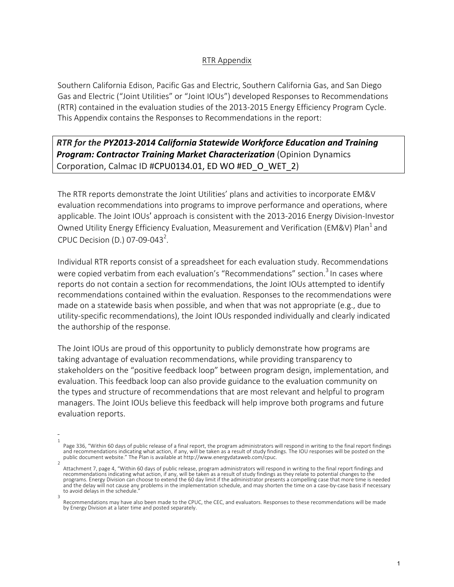### RTR Appendix

Southern California Edison, Pacific Gas and Electric, Southern California Gas, and San Diego Gas and Electric ("Joint Utilities" or "Joint IOUs") developed Responses to Recommendations (RTR) contained in the evaluation studies of the 2013-2015 Energy Efficiency Program Cycle. This Appendix contains the Responses to Recommendations in the report:

## *RTR* for the PY2013-2014 California Statewide Workforce Education and Training *Program: Contractor Training Market Characterization* (Opinion Dynamics Corporation, Calmac ID #CPU0134.01, ED WO #ED O WET 2)

The RTR reports demonstrate the Joint Utilities' plans and activities to incorporate EM&V evaluation recommendations into programs to improve performance and operations, where applicable. The Joint IOUs' approach is consistent with the 2013-2016 Energy Division-Investor Owned Utility Energy Efficiency Evaluation, Measurement and Verification (EM&V) Plan<sup>1</sup> and CPUC Decision (D.) 07-09-043<sup>2</sup>.

Individual RTR reports consist of a spreadsheet for each evaluation study. Recommendations were copied verbatim from each evaluation's "Recommendations" section.<sup>3</sup> In cases where reports do not contain a section for recommendations, the Joint IOUs attempted to identify recommendations contained within the evaluation. Responses to the recommendations were made on a statewide basis when possible, and when that was not appropriate (e.g., due to utility-specific recommendations), the Joint IOUs responded individually and clearly indicated the authorship of the response.

The Joint IOUs are proud of this opportunity to publicly demonstrate how programs are taking advantage of evaluation recommendations, while providing transparency to stakeholders on the "positive feedback loop" between program design, implementation, and evaluation. This feedback loop can also provide guidance to the evaluation community on the types and structure of recommendations that are most relevant and helpful to program managers. The Joint IOUs believe this feedback will help improve both programs and future evaluation reports.

<sup>1</sup> Page 336, "Within 60 days of public release of a final report, the program administrators will respond in writing to the final report findings and recommendations indicating what action, if any, will be taken as a result of study findings. The IOU responses will be posted on the<br>public document website." The Plan is available at http://www.energydataweb.com/cpuc.  $\overline{2}$ 

Attachment 7, page 4, "Within 60 days of public release, program administrators will respond in writing to the final report findings and recommendations indicating what action, if any, will be taken as a result of study findings as they relate to potential changes to the<br>programs. Energy Division can choose to extend the 60 day limit if the administrator pr and the delay will not cause any problems in the implementation schedule, and may shorten the time on a case-by-case basis if necessary to avoid delays in the schedule.

<sup>3</sup> Recommendations may have also been made to the CPUC, the CEC, and evaluators. Responses to these recommendations will be made by Energy Division at a later time and posted separately.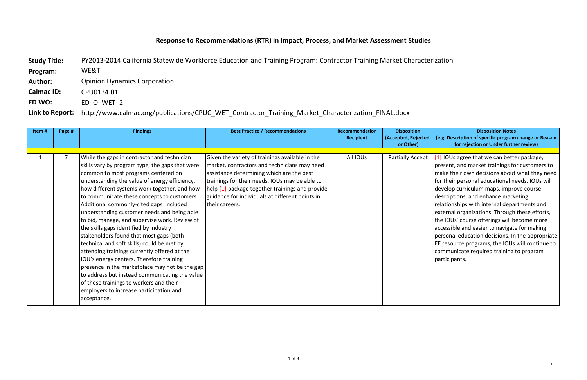# **Response to Recommendations (RTR) in Impact, Process, and Market Assessment Studies**

Study Title: PY2013-2014 California Statewide Workforce Education and Training Program: Contractor Training Market Characterization **Program:**  WE&T **Author:** Opinion Dynamics Corporation **Calmac ID: CPU0134.01 ED WO:** ED\_O\_WET\_2 Link to Report: http://www.calmac.org/publications/CPUC\_WET\_Contractor\_Training\_Market\_Characterization\_FINAL.docx

### **Disposition Notes (e.g. Description of specific program change or Reason for rejection or Under further review)**

| Item#        | Page #         | <b>Findings</b>                                                                                                                                                                                                                                                                                                                                                                                                                                                                                                                                                                                                                                                                                                                                                                                                                                                          | <b>Best Practice / Recommendations</b>                                                                                                                                                                                                                                                                                 | <b>Recommendation</b><br><b>Recipient</b> | <b>Disposition</b><br>(Accepted, Rejected, |
|--------------|----------------|--------------------------------------------------------------------------------------------------------------------------------------------------------------------------------------------------------------------------------------------------------------------------------------------------------------------------------------------------------------------------------------------------------------------------------------------------------------------------------------------------------------------------------------------------------------------------------------------------------------------------------------------------------------------------------------------------------------------------------------------------------------------------------------------------------------------------------------------------------------------------|------------------------------------------------------------------------------------------------------------------------------------------------------------------------------------------------------------------------------------------------------------------------------------------------------------------------|-------------------------------------------|--------------------------------------------|
|              |                |                                                                                                                                                                                                                                                                                                                                                                                                                                                                                                                                                                                                                                                                                                                                                                                                                                                                          |                                                                                                                                                                                                                                                                                                                        |                                           | or Other)                                  |
| $\mathbf{1}$ | $\overline{7}$ | While the gaps in contractor and technician<br>skills vary by program type, the gaps that were<br>common to most programs centered on<br>understanding the value of energy efficiency,<br>how different systems work together, and how<br>to communicate these concepts to customers.<br>Additional commonly-cited gaps included<br>understanding customer needs and being able<br>to bid, manage, and supervise work. Review of<br>the skills gaps identified by industry<br>stakeholders found that most gaps (both<br>technical and soft skills) could be met by<br>attending trainings currently offered at the<br>IOU's energy centers. Therefore training<br>presence in the marketplace may not be the gap<br>to address but instead communicating the value<br>of these trainings to workers and their<br>employers to increase participation and<br>acceptance. | Given the variety of trainings available in the<br>market, contractors and technicians may need<br>assistance determining which are the best<br>trainings for their needs. IOUs may be able to<br>help [1] package together trainings and provide<br>guidance for individuals at different points in<br>their careers. | All IOUs                                  | Partially Accept                           |

 $\left[1\right]$  IOUs agree that we can better package, present, and market trainings for customers to make their own decisions about what they need for their personal educational needs. IOUs will develop curriculum maps, improve course descriptions, and enhance marketing relationships with internal departments and  $\vert$ external organizations. Through these efforts, the IOUs' course offerings will become more  $\vert$ accessible and easier to navigate for making personal education decisions. In the appropriate  $\mathsf{\mathsf{E}}$  EE resource programs, the IOUs will continue to communicate required training to program participants.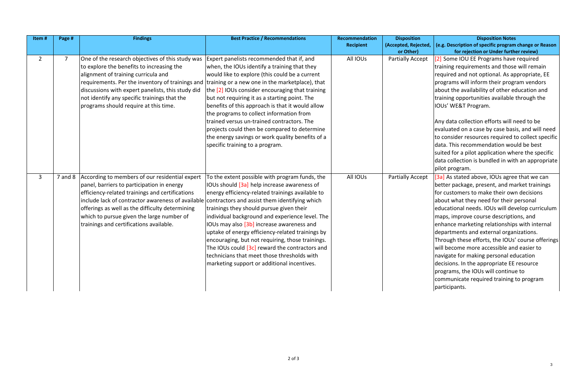### **Disposition Notes (e.g. Description of specific program change or Reason for rejection or Under further review)**

[2] Some IOU EE Programs have required training requirements and those will remain  $|$ required and not optional. As appropriate, EE  $\beta$  programs will inform their program vendors about the availability of other education and training opportunities available through the IOUs' WE&T Program. 

Any data collection efforts will need to be evaluated on a case by case basis, and will need to consider resources required to collect specific data. This recommendation would be best suited for a pilot application where the specific  $|$ data collection is bundled in with an appropriate pilot program.

[3a] As stated above, IOUs agree that we can  $\vert$ better package, present, and market trainings for customers to make their own decisions about what they need for their personal educational needs. IOUs will develop curriculum  $\vert$ maps, improve course descriptions, and  $|$ enhance marketing relationships with internal departments and external organizations. Through these efforts, the IOUs' course offerings will become more accessible and easier to  $\vert$ navigate for making personal education  $dec$  decisions. In the appropriate EE resource programs, the IOUs will continue to communicate required training to program participants. 

| Item#          | Page #         | <b>Findings</b>                                                                                                                                                                                                                                                                                                                                                                        | <b>Best Practice / Recommendations</b>                                                                                                                                                                                                                                                                                                                                                                                                                                                                                                                                                                 | Recommendation<br><b>Recipient</b> | <b>Disposition</b><br>(Accepted, Rejected, |
|----------------|----------------|----------------------------------------------------------------------------------------------------------------------------------------------------------------------------------------------------------------------------------------------------------------------------------------------------------------------------------------------------------------------------------------|--------------------------------------------------------------------------------------------------------------------------------------------------------------------------------------------------------------------------------------------------------------------------------------------------------------------------------------------------------------------------------------------------------------------------------------------------------------------------------------------------------------------------------------------------------------------------------------------------------|------------------------------------|--------------------------------------------|
|                |                |                                                                                                                                                                                                                                                                                                                                                                                        |                                                                                                                                                                                                                                                                                                                                                                                                                                                                                                                                                                                                        |                                    | or Other)                                  |
| $\overline{2}$ | $\overline{7}$ | One of the research objectives of this study was<br>to explore the benefits to increasing the<br>alignment of training curricula and<br>requirements. Per the inventory of trainings and training or a new one in the marketplace), that<br>discussions with expert panelists, this study did<br>not identify any specific trainings that the<br>programs should require at this time. | Expert panelists recommended that if, and<br>when, the IOUs identify a training that they<br>would like to explore (this could be a current<br>the [2] IOUs consider encouraging that training<br>but not requiring it as a starting point. The<br>benefits of this approach is that it would allow<br>the programs to collect information from<br>trained versus un-trained contractors. The<br>projects could then be compared to determine<br>the energy savings or work quality benefits of a<br>specific training to a program.                                                                   | All IOUs                           | <b>Partially Accept</b>                    |
| $\mathbf{3}$   | $7$ and $8$    | According to members of our residential expert<br>panel, barriers to participation in energy<br>efficiency-related trainings and certifications<br>include lack of contractor awareness of available<br>offerings as well as the difficulty determining<br>which to pursue given the large number of<br>trainings and certifications available.                                        | To the extent possible with program funds, the<br>IOUs should [3a] help increase awareness of<br>energy efficiency-related trainings available to<br>contractors and assist them identifying which<br>trainings they should pursue given their<br>individual background and experience level. The<br>IOUs may also [3b] increase awareness and<br>uptake of energy efficiency-related trainings by<br>encouraging, but not requiring, those trainings.<br>The IOUs could [3c] reward the contractors and<br>technicians that meet those thresholds with<br>marketing support or additional incentives. | All IOUs                           | Partially Accept                           |